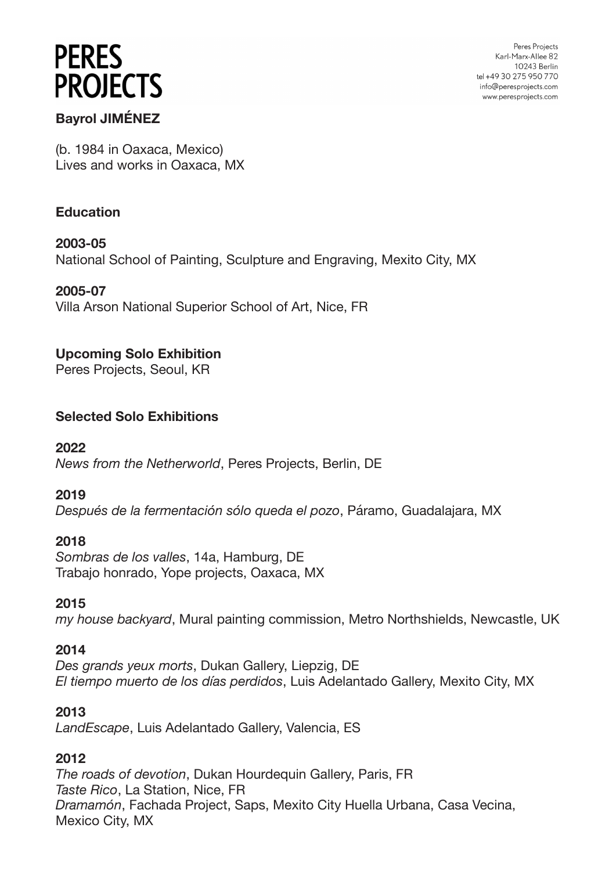Peres Projects Karl-Marx-Allee 82 10243 Berlin tel +49 30 275 950 770 info@peresprojects.com www.peresprojects.com

# **Bayrol JIMÉNEZ**

(b. 1984 in Oaxaca, Mexico) Lives and works in Oaxaca, MX

#### **Education**

**2003-05** National School of Painting, Sculpture and Engraving, Mexito City, MX

#### **2005-07**

Villa Arson National Superior School of Art, Nice, FR

#### **Upcoming Solo Exhibition**

Peres Projects, Seoul, KR

#### **Selected Solo Exhibitions**

**2022** *News from the Netherworld*, Peres Projects, Berlin, DE

#### **2019**

*Después de la fermentación sólo queda el pozo*, Páramo, Guadalajara, MX

#### **2018**

*Sombras de los valles*, 14a, Hamburg, DE Trabajo honrado, Yope projects, Oaxaca, MX

#### **2015**

*my house backyard*, Mural painting commission, Metro Northshields, Newcastle, UK

#### **2014**

*Des grands yeux morts*, Dukan Gallery, Liepzig, DE *El tiempo muerto de los días perdidos*, Luis Adelantado Gallery, Mexito City, MX

#### **2013**

*LandEscape*, Luis Adelantado Gallery, Valencia, ES

#### **2012**

*The roads of devotion*, Dukan Hourdequin Gallery, Paris, FR *Taste Rico*, La Station, Nice, FR *Dramamón*, Fachada Project, Saps, Mexito City Huella Urbana, Casa Vecina, Mexico City, MX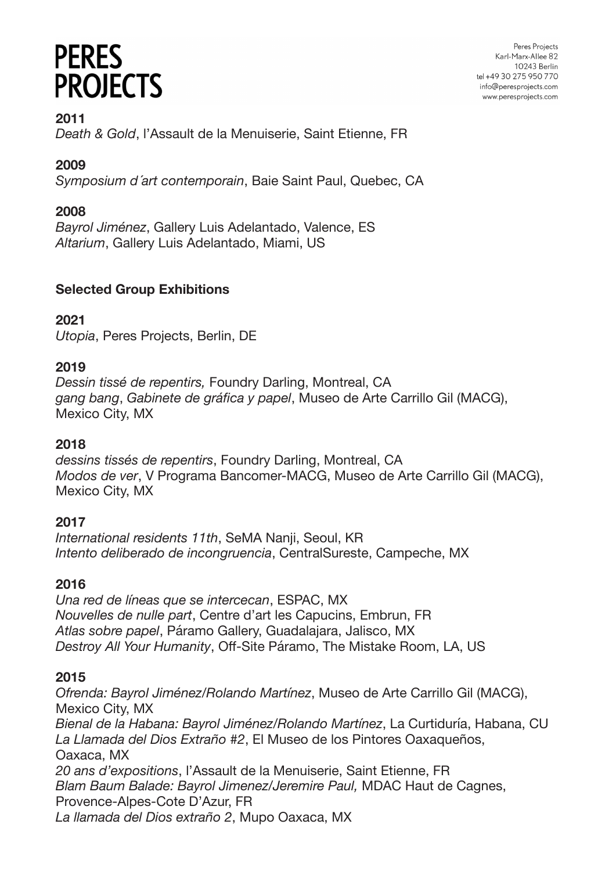Peres Projects Karl-Marx-Allee 82 10243 Berlin tel +49 30 275 950 770 info@peresprojects.com www.peresprojects.com

**2011**

*Death & Gold*, l'Assault de la Menuiserie, Saint Etienne, FR

# **2009**

*Symposium d ́art contemporain*, Baie Saint Paul, Quebec, CA

# **2008**

*Bayrol Jiménez*, Gallery Luis Adelantado, Valence, ES *Altarium*, Gallery Luis Adelantado, Miami, US

# **Selected Group Exhibitions**

# **2021**

*Utopia*, Peres Projects, Berlin, DE

# **2019**

*Dessin tissé de repentirs,* Foundry Darling, Montreal, CA *gang bang*, *Gabinete de gráfica y papel*, Museo de Arte Carrillo Gil (MACG), Mexico City, MX

# **2018**

*dessins tissés de repentirs*, Foundry Darling, Montreal, CA *Modos de ver*, V Programa Bancomer-MACG, Museo de Arte Carrillo Gil (MACG), Mexico City, MX

# **2017**

*International residents 11th*, SeMA Nanji, Seoul, KR *Intento deliberado de incongruencia*, CentralSureste, Campeche, MX

# **2016**

*Una red de líneas que se intercecan*, ESPAC, MX *Nouvelles de nulle part*, Centre d'art les Capucins, Embrun, FR *Atlas sobre papel*, Páramo Gallery, Guadalajara, Jalisco, MX *Destroy All Your Humanity*, Off-Site Páramo, The Mistake Room, LA, US

# **2015**

*Ofrenda: Bayrol Jiménez/Rolando Martínez*, Museo de Arte Carrillo Gil (MACG), Mexico City, MX *Bienal de la Habana: Bayrol Jiménez/Rolando Martínez*, La Curtiduría, Habana, CU *La Llamada del Dios Extraño #2*, El Museo de los Pintores Oaxaqueños, Oaxaca, MX *20 ans d'expositions*, l'Assault de la Menuiserie, Saint Etienne, FR *Blam Baum Balade: Bayrol Jimenez/Jeremire Paul,* MDAC Haut de Cagnes, Provence-Alpes-Cote D'Azur, FR *La llamada del Dios extraño 2*, Mupo Oaxaca, MX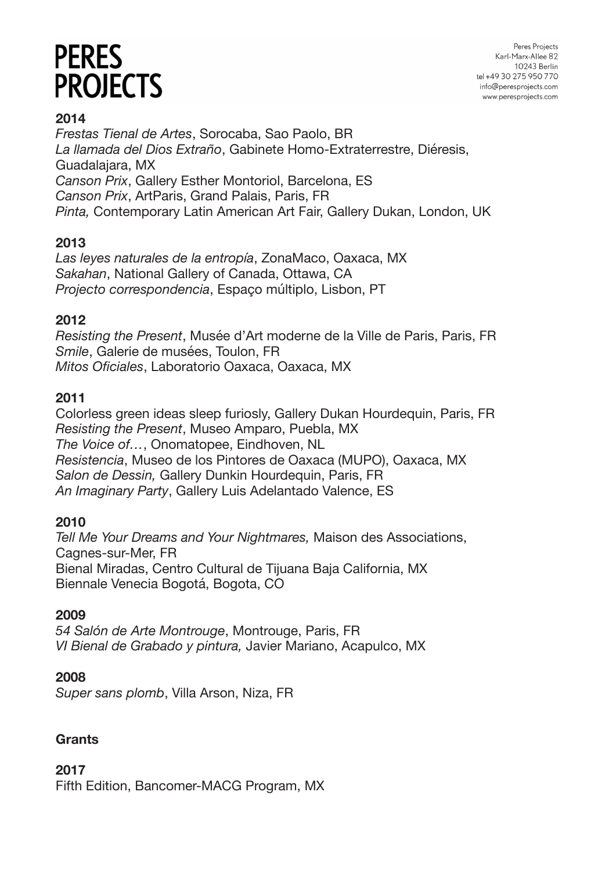Peres Projects Karl-Marx-Allee 82 10243 Berlin tel +49 30 275 950 770 info@peresprojects.com www.peresprojects.com

# **2014**

*Frestas Tienal de Artes*, Sorocaba, Sao Paolo, BR *La llamada del Dios Extraño*, Gabinete Homo-Extraterrestre, Diéresis, Guadalajara, MX *Canson Prix*, Gallery Esther Montoriol, Barcelona, ES *Canson Prix*, ArtParis, Grand Palais, Paris, FR *Pinta,* Contemporary Latin American Art Fair, Gallery Dukan, London, UK

# **2013**

*Las leyes naturales de la entropía*, ZonaMaco, Oaxaca, MX *Sakahan*, National Gallery of Canada, Ottawa, CA *Projecto correspondencia*, Espaço múltiplo, Lisbon, PT

# **2012**

*Resisting the Present*, Musée d'Art moderne de la Ville de Paris, Paris, FR *Smile*, Galerie de musées, Toulon, FR *Mitos Oficiales*, Laboratorio Oaxaca, Oaxaca, MX

## **2011**

Colorless green ideas sleep furiosly, Gallery Dukan Hourdequin, Paris, FR *Resisting the Present*, Museo Amparo, Puebla, MX *The Voice of…*, Onomatopee, Eindhoven, NL *Resistencia*, Museo de los Pintores de Oaxaca (MUPO), Oaxaca, MX *Salon de Dessin,* Gallery Dunkin Hourdequin, Paris, FR *An Imaginary Party*, Gallery Luis Adelantado Valence, ES

#### **2010**

*Tell Me Your Dreams and Your Nightmares,* Maison des Associations, Cagnes-sur-Mer, FR Bienal Miradas, Centro Cultural de Tijuana Baja California, MX Biennale Venecia Bogotá, Bogota, CO

#### **2009**

*54 Salón de Arte Montrouge*, Montrouge, Paris, FR *VI Bienal de Grabado y pintura,* Javier Mariano, Acapulco, MX

#### **2008**

*Super sans plomb*, Villa Arson, Niza, FR

#### **Grants**

**2017**

Fifth Edition, Bancomer-MACG Program, MX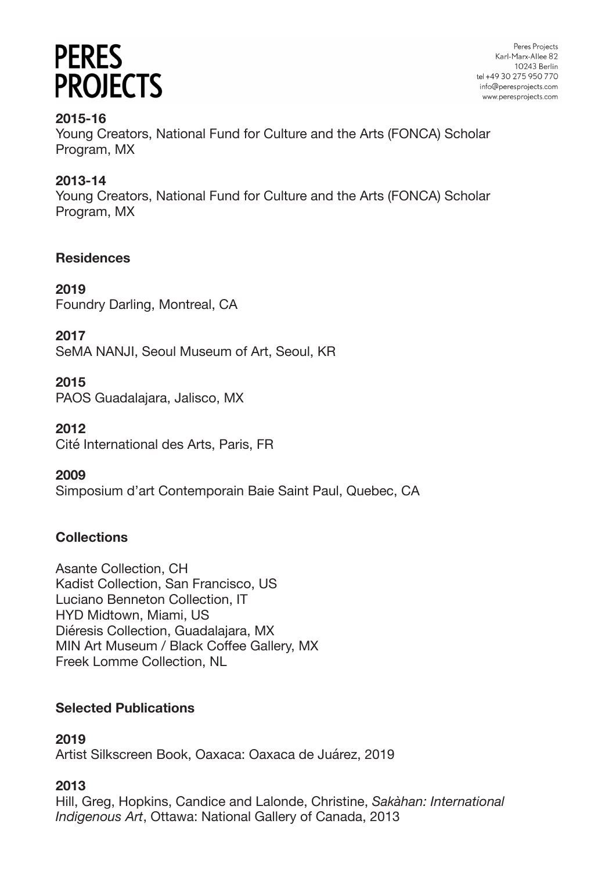Peres Projects Karl-Marx-Allee 82 10243 Berlin tel +49 30 275 950 770 info@peresprojects.com www.peresprojects.com

## **2015-16**

Young Creators, National Fund for Culture and the Arts (FONCA) Scholar Program, MX

# **2013-14**

Young Creators, National Fund for Culture and the Arts (FONCA) Scholar Program, MX

## **Residences**

**2019** Foundry Darling, Montreal, CA

**2017**

SeMA NANJI, Seoul Museum of Art, Seoul, KR

## **2015**

PAOS Guadalajara, Jalisco, MX

#### **2012**

Cité International des Arts, Paris, FR

# **2009**

Simposium d'art Contemporain Baie Saint Paul, Quebec, CA

# **Collections**

Asante Collection, CH Kadist Collection, San Francisco, US Luciano Benneton Collection, IT HYD Midtown, Miami, US Diéresis Collection, Guadalajara, MX MIN Art Museum / Black Coffee Gallery, MX Freek Lomme Collection, NL

# **Selected Publications**

# **2019**

Artist Silkscreen Book, Oaxaca: Oaxaca de Juárez, 2019

# **2013**

Hill, Greg, Hopkins, Candice and Lalonde, Christine, *Sakàhan: International Indigenous Art*, Ottawa: National Gallery of Canada, 2013